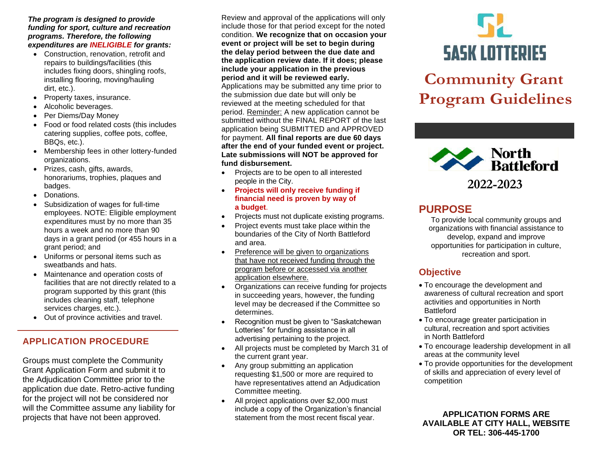#### *The program is designed to provide funding for sport, culture and recreation programs. Therefore, the following expenditures are INELIGIBLE for grants:*

- Construction, renovation, retrofit and repairs to buildings/facilities (this includes fixing doors, shingling roofs, installing flooring, moving/hauling dirt, etc.).
- Property taxes, insurance.
- Alcoholic beverages.
- Per Diems/Day Money
- Food or food related costs (this includes catering supplies, coffee pots, coffee, BBQs, etc.).
- Membership fees in other lottery-funded organizations.
- Prizes, cash, gifts, awards, honorariums, trophies, plaques and badges.
- Donations.
- Subsidization of wages for full-time employees. NOTE: Eligible employment expenditures must by no more than 35 hours a week and no more than 90 days in a grant period (or 455 hours in a grant period; and
- Uniforms or personal items such as sweatbands and hats.
- Maintenance and operation costs of facilities that are not directly related to a program supported by this grant (this includes cleaning staff, telephone services charges, etc.).
- Out of province activities and travel.

## **APPLICATION PROCEDURE**

Groups must complete the Community Grant Application Form and submit it to the Adjudication Committee prior to the application due date. Retro-active funding for the project will not be considered nor will the Committee assume any liability for projects that have not been approved.

Review and approval of the applications will only include those for that period except for the noted condition. **We recognize that on occasion your event or project will be set to begin during the delay period between the due date and the application review date. If it does; please include your application in the previous period and it will be reviewed early.** 

Applications may be submitted any time prior to the submission due date but will only be reviewed at the meeting scheduled for that period. Reminder: A new application cannot be submitted without the FINAL REPORT of the last application being SUBMITTED and APPROVED for payment. **All final reports are due 60 days after the end of your funded event or project. Late submissions will NOT be approved for fund disbursement.**

- Projects are to be open to all interested people in the City.
- **Projects will only receive funding if financial need is proven by way of a budget**.
- Projects must not duplicate existing programs.
- Project events must take place within the boundaries of the City of North Battleford and area.
- Preference will be given to organizations that have not received funding through the program before or accessed via another application elsewhere.
- Organizations can receive funding for projects in succeeding years, however, the funding level may be decreased if the Committee so determines.
- Recognition must be given to "Saskatchewan Lotteries" for funding assistance in all advertising pertaining to the project.
- All projects must be completed by March 31 of the current grant year.
- Any group submitting an application requesting \$1,500 or more are required to have representatives attend an Adjudication Committee meeting.
- All project applications over \$2,000 must include a copy of the Organization's financial statement from the most recent fiscal year.



# **Community Grant Program Guidelines**



# **PURPOSE**

To provide local community groups and organizations with financial assistance to develop, expand and improve opportunities for participation in culture, recreation and sport.

## **Objective**

- To encourage the development and awareness of cultural recreation and sport activities and opportunities in North Battleford
- To encourage greater participation in cultural, recreation and sport activities in North Battleford
- To encourage leadership development in all areas at the community level
- To provide opportunities for the development of skills and appreciation of every level of competition

**APPLICATION FORMS ARE AVAILABLE AT CITY HALL, WEBSITE OR TEL: 306-445-1700**